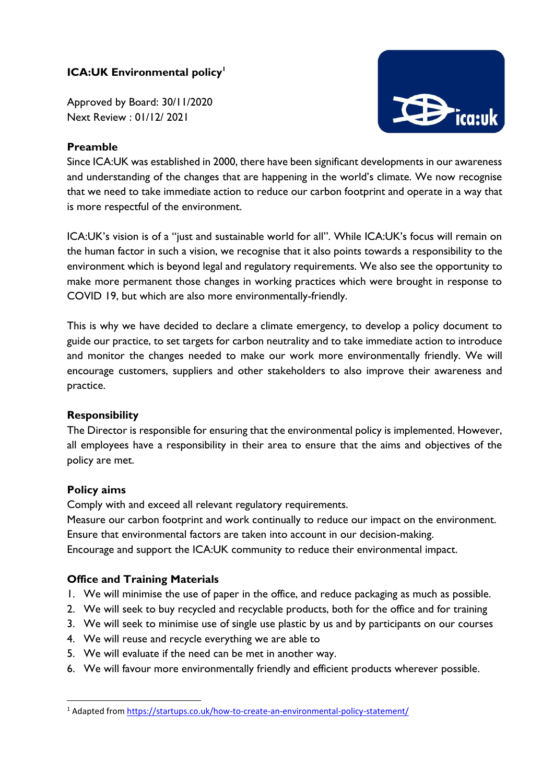# **ICA:UK Environmental policy<sup>1</sup>**

Approved by Board: 30/11/2020 Next Review : 01/12/ 2021

## **Preamble**



Since ICA:UK was established in 2000, there have been significant developments in our awareness and understanding of the changes that are happening in the world's climate. We now recognise that we need to take immediate action to reduce our carbon footprint and operate in a way that is more respectful of the environment.

ICA:UK's vision is of a "just and sustainable world for all". While ICA:UK's focus will remain on the human factor in such a vision, we recognise that it also points towards a responsibility to the environment which is beyond legal and regulatory requirements. We also see the opportunity to make more permanent those changes in working practices which were brought in response to COVID 19, but which are also more environmentally-friendly.

This is why we have decided to declare a climate emergency, to develop a policy document to guide our practice, to set targets for carbon neutrality and to take immediate action to introduce and monitor the changes needed to make our work more environmentally friendly. We will encourage customers, suppliers and other stakeholders to also improve their awareness and practice.

### **Responsibility**

The Director is responsible for ensuring that the environmental policy is implemented. However, all employees have a responsibility in their area to ensure that the aims and objectives of the policy are met.

### **Policy aims**

**.** 

Comply with and exceed all relevant regulatory requirements.

Measure our carbon footprint and work continually to reduce our impact on the environment. Ensure that environmental factors are taken into account in our decision-making.

Encourage and support the ICA:UK community to reduce their environmental impact.

## **Office and Training Materials**

- 1. We will minimise the use of paper in the office, and reduce packaging as much as possible.
- 2. We will seek to buy recycled and recyclable products, both for the office and for training
- 3. We will seek to minimise use of single use plastic by us and by participants on our courses
- 4. We will reuse and recycle everything we are able to
- 5. We will evaluate if the need can be met in another way.
- 6. We will favour more environmentally friendly and efficient products wherever possible.

<sup>1</sup> Adapted fro[m https://startups.co.uk/how-to-create-an-environmental-policy-statement/](https://startups.co.uk/how-to-create-an-environmental-policy-statement/)